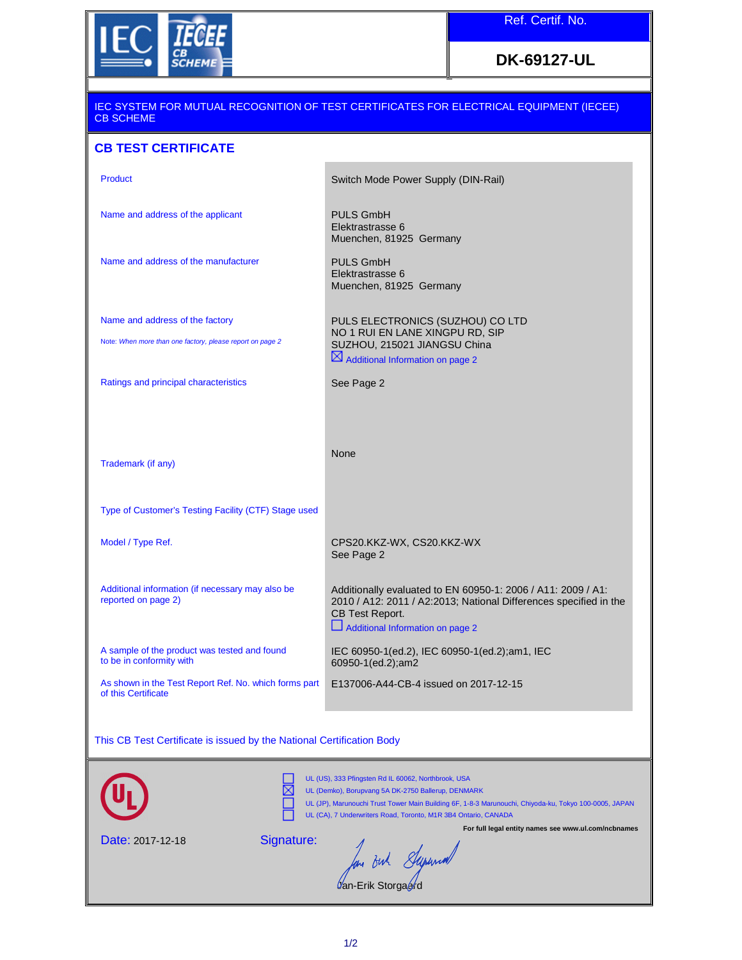

## **DK-69127-UL**

| <u>IEC SYSTEM FOR MUTUAL RECOGNITION OF TEST CERTIFICATES FOR ELECTRICAL EQUIPMENT (IECEE)</u><br><b>CB SCHEME</b>                                                                                                                                                                   |                                                                                                                                                                                          |
|--------------------------------------------------------------------------------------------------------------------------------------------------------------------------------------------------------------------------------------------------------------------------------------|------------------------------------------------------------------------------------------------------------------------------------------------------------------------------------------|
| <b>CB TEST CERTIFICATE</b>                                                                                                                                                                                                                                                           |                                                                                                                                                                                          |
| <b>Product</b>                                                                                                                                                                                                                                                                       | Switch Mode Power Supply (DIN-Rail)                                                                                                                                                      |
| Name and address of the applicant                                                                                                                                                                                                                                                    | <b>PULS GmbH</b><br>Elektrastrasse 6<br>Muenchen, 81925 Germany                                                                                                                          |
| Name and address of the manufacturer                                                                                                                                                                                                                                                 | <b>PULS GmbH</b><br>Elektrastrasse 6<br>Muenchen, 81925 Germany                                                                                                                          |
| Name and address of the factory                                                                                                                                                                                                                                                      | PULS ELECTRONICS (SUZHOU) CO LTD<br>NO 1 RUI EN LANE XINGPU RD, SIP                                                                                                                      |
| Note: When more than one factory, please report on page 2                                                                                                                                                                                                                            | SUZHOU, 215021 JIANGSU China<br>$\boxtimes$ Additional Information on page 2                                                                                                             |
| Ratings and principal characteristics                                                                                                                                                                                                                                                | See Page 2                                                                                                                                                                               |
| Trademark (if any)                                                                                                                                                                                                                                                                   | None                                                                                                                                                                                     |
|                                                                                                                                                                                                                                                                                      |                                                                                                                                                                                          |
| Type of Customer's Testing Facility (CTF) Stage used                                                                                                                                                                                                                                 |                                                                                                                                                                                          |
| Model / Type Ref.                                                                                                                                                                                                                                                                    | CPS20.KKZ-WX, CS20.KKZ-WX<br>See Page 2                                                                                                                                                  |
| Additional information (if necessary may also be<br>reported on page 2)                                                                                                                                                                                                              | Additionally evaluated to EN 60950-1: 2006 / A11: 2009 / A1:<br>2010 / A12: 2011 / A2:2013; National Differences specified in the<br>CB Test Report.<br>Additional Information on page 2 |
| A sample of the product was tested and found<br>to be in conformity with                                                                                                                                                                                                             | IEC 60950-1(ed.2), IEC 60950-1(ed.2);am1, IEC<br>60950-1(ed.2);am2                                                                                                                       |
| As shown in the Test Report Ref. No. which forms part<br>of this Certificate                                                                                                                                                                                                         | E137006-A44-CB-4 issued on 2017-12-15                                                                                                                                                    |
| This CB Test Certificate is issued by the National Certification Body                                                                                                                                                                                                                |                                                                                                                                                                                          |
| UL (US), 333 Pfingsten Rd IL 60062, Northbrook, USA<br>UL (Demko), Borupvang 5A DK-2750 Ballerup, DENMARK<br>UL (JP), Marunouchi Trust Tower Main Building 6F, 1-8-3 Marunouchi, Chiyoda-ku, Tokyo 100-0005, JAPAN<br>UL (CA), 7 Underwriters Road, Toronto, M1R 3B4 Ontario, CANADA |                                                                                                                                                                                          |
| For full legal entity names see www.ul.com/ncbnames<br>Signature:<br>Date: 2017-12-18                                                                                                                                                                                                |                                                                                                                                                                                          |
| But Stepsmall<br>/an-Erik Storga <i>⊌</i>                                                                                                                                                                                                                                            |                                                                                                                                                                                          |